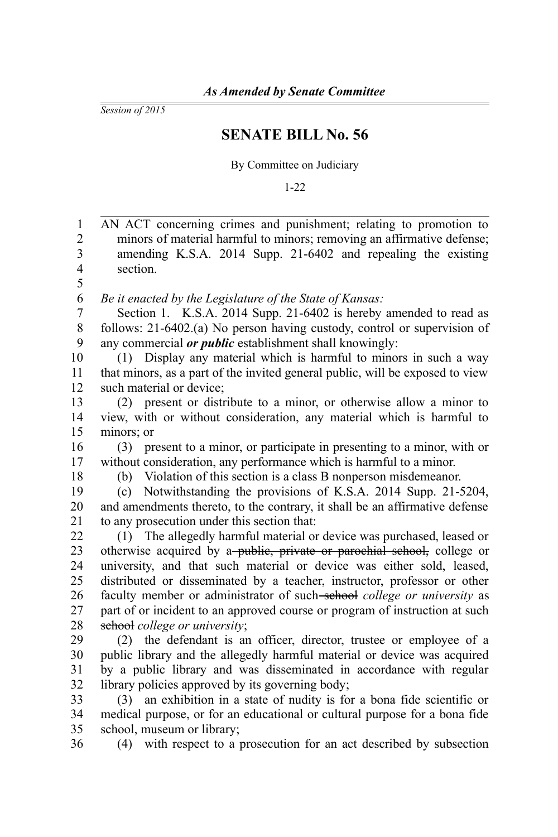*Session of 2015*

36

## **SENATE BILL No. 56**

By Committee on Judiciary

1-22

AN ACT concerning crimes and punishment; relating to promotion to minors of material harmful to minors; removing an affirmative defense; amending K.S.A. 2014 Supp. 21-6402 and repealing the existing section. *Be it enacted by the Legislature of the State of Kansas:* Section 1. K.S.A. 2014 Supp. 21-6402 is hereby amended to read as follows: 21-6402.(a) No person having custody, control or supervision of any commercial *or public* establishment shall knowingly: (1) Display any material which is harmful to minors in such a way that minors, as a part of the invited general public, will be exposed to view such material or device; (2) present or distribute to a minor, or otherwise allow a minor to view, with or without consideration, any material which is harmful to minors; or (3) present to a minor, or participate in presenting to a minor, with or without consideration, any performance which is harmful to a minor. (b) Violation of this section is a class B nonperson misdemeanor. (c) Notwithstanding the provisions of K.S.A. 2014 Supp. 21-5204, and amendments thereto, to the contrary, it shall be an affirmative defense to any prosecution under this section that: (1) The allegedly harmful material or device was purchased, leased or otherwise acquired by a-public, private or parochial school, college or university, and that such material or device was either sold, leased, distributed or disseminated by a teacher, instructor, professor or other faculty member or administrator of such-school *college or university* as part of or incident to an approved course or program of instruction at such school *college or university*; (2) the defendant is an officer, director, trustee or employee of a public library and the allegedly harmful material or device was acquired by a public library and was disseminated in accordance with regular library policies approved by its governing body; (3) an exhibition in a state of nudity is for a bona fide scientific or medical purpose, or for an educational or cultural purpose for a bona fide school, museum or library; 1 2 3 4 5 6 7 8 9 10 11 12 13 14 15 16 17 18 19 20 21 22 23 24 25 26 27 28 29 30 31 32 33 34 35

(4) with respect to a prosecution for an act described by subsection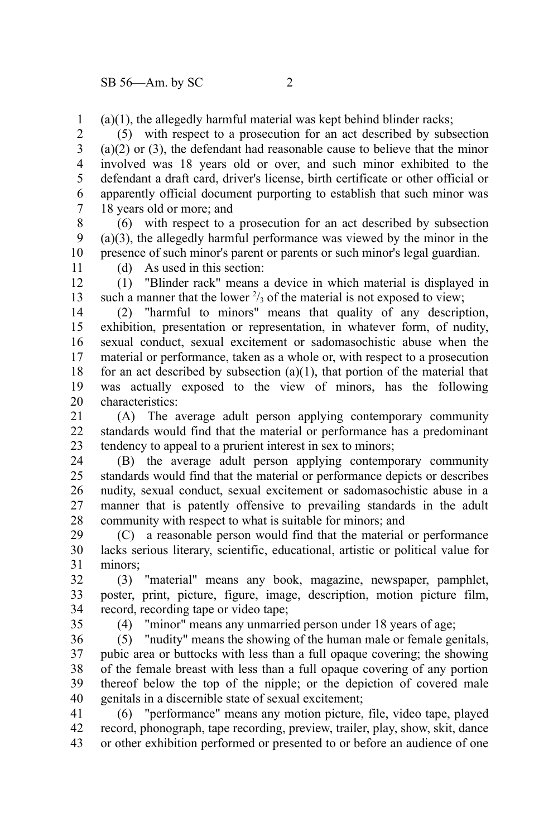(a)(1), the allegedly harmful material was kept behind blinder racks; 1

(5) with respect to a prosecution for an act described by subsection (a)(2) or (3), the defendant had reasonable cause to believe that the minor involved was 18 years old or over, and such minor exhibited to the defendant a draft card, driver's license, birth certificate or other official or apparently official document purporting to establish that such minor was 18 years old or more; and 2 3 4 5 6 7

(6) with respect to a prosecution for an act described by subsection (a)(3), the allegedly harmful performance was viewed by the minor in the presence of such minor's parent or parents or such minor's legal guardian. 8 9 10

11

(d) As used in this section:

(1) "Blinder rack" means a device in which material is displayed in such a manner that the lower  $\frac{2}{3}$  of the material is not exposed to view; 12 13

(2) "harmful to minors" means that quality of any description, exhibition, presentation or representation, in whatever form, of nudity, sexual conduct, sexual excitement or sadomasochistic abuse when the material or performance, taken as a whole or, with respect to a prosecution for an act described by subsection  $(a)(1)$ , that portion of the material that was actually exposed to the view of minors, has the following characteristics: 14 15 16 17 18 19 20

(A) The average adult person applying contemporary community standards would find that the material or performance has a predominant tendency to appeal to a prurient interest in sex to minors; 21 22 23

(B) the average adult person applying contemporary community standards would find that the material or performance depicts or describes nudity, sexual conduct, sexual excitement or sadomasochistic abuse in a manner that is patently offensive to prevailing standards in the adult community with respect to what is suitable for minors; and 24 25 26 27 28

(C) a reasonable person would find that the material or performance lacks serious literary, scientific, educational, artistic or political value for minors; 29 30 31

(3) "material" means any book, magazine, newspaper, pamphlet, poster, print, picture, figure, image, description, motion picture film, record, recording tape or video tape; 32 33 34

35

(4) "minor" means any unmarried person under 18 years of age;

(5) "nudity" means the showing of the human male or female genitals, pubic area or buttocks with less than a full opaque covering; the showing of the female breast with less than a full opaque covering of any portion thereof below the top of the nipple; or the depiction of covered male genitals in a discernible state of sexual excitement; 36 37 38 39 40

(6) "performance" means any motion picture, file, video tape, played record, phonograph, tape recording, preview, trailer, play, show, skit, dance or other exhibition performed or presented to or before an audience of one 41 42 43